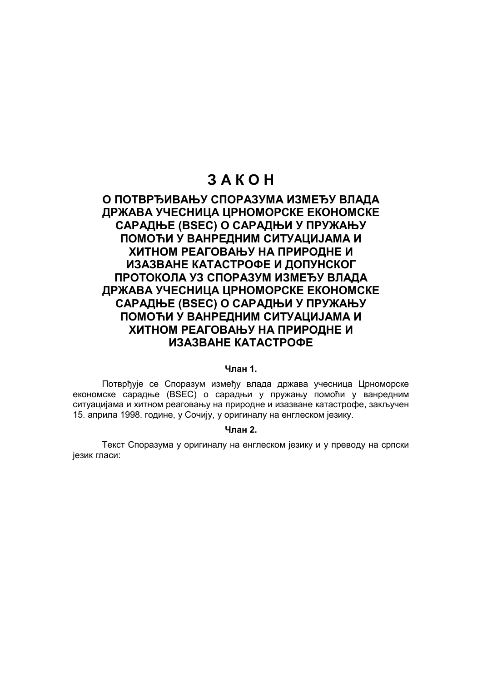# **З А К О Н**

# **О ПОТВРЂИВАЊУ СПОРАЗУМА ИЗМЕЂУ ВЛАДА ДРЖАВА УЧЕСНИЦА ЦРНОМОРСКЕ ЕКОНОМСКЕ САРАДЊЕ (BSEC) О САРАДЊИ У ПРУЖАЊУ ПОМОЋИ У ВАНРЕДНИМ СИТУАЦИЈАМА И ХИТНОМ РЕАГОВАЊУ НА ПРИРОДНЕ И ИЗАЗВАНЕ КАТАСТРОФЕ И ДОПУНСКОГ ПРОТОКОЛА УЗ СПОРАЗУМ ИЗМЕЂУ ВЛАДА ДРЖАВА УЧЕСНИЦА ЦРНОМОРСКЕ ЕКОНОМСКЕ САРАДЊЕ (BSEC) О САРАДЊИ У ПРУЖАЊУ ПОМОЋИ У ВАНРЕДНИМ СИТУАЦИЈАМА И ХИТНОМ РЕАГОВАЊУ НА ПРИРОДНЕ И ИЗАЗВАНЕ КАТАСТРОФЕ**

# **Члан 1.**

Потврђује се Споразум између влада држава учесница Црноморске економске сарадње (BSEC) о сарадњи у пружању помоћи у ванредним ситуацијама и хитном реаговању на природне и изазване катастрофе, закључен 15. априла 1998. године, у Сочију, у оригиналу на енглеском језику.

## **Члан 2.**

Текст Споразума у оригиналу на енглеском језику и у преводу на српски језик гласи: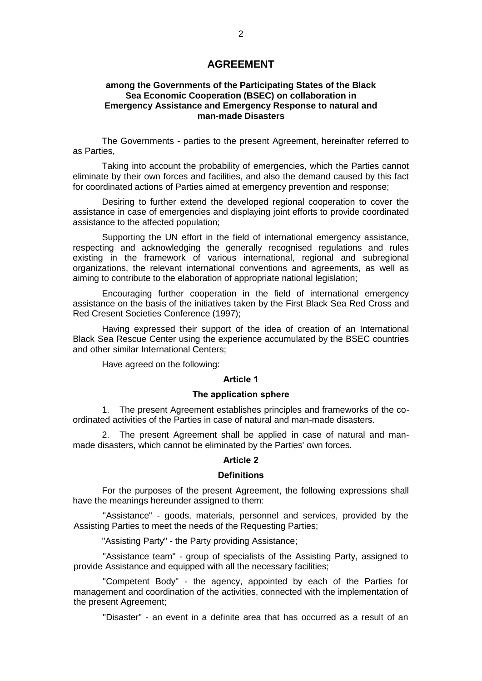# **AGREEMENT**

# **among the Governments of the Participating States of the Black Sea Economic Cooperation (BSEC) on collaboration in Emergency Assistance and Emergency Response to natural and man-made Disasters**

The Governments - parties to the present Agreement, hereinafter referred to as Parties,

Taking into account the probability of emergencies, which the Parties cannot eliminate by their own forces and facilities, and also the demand caused by this fact for coordinated actions of Parties aimed at emergency prevention and response;

Desiring to further extend the developed regional cooperation to cover the assistance in case of emergencies and displaying joint efforts to provide coordinated assistance to the affected population;

Supporting the UN effort in the field of international emergency assistance, respecting and acknowledging the generally recognised regulations and rules existing in the framework of various international, regional and subregional organizations, the relevant international conventions and agreements, as well as aiming to contribute to the elaboration of appropriate national legislation;

Encouraging further cooperation in the field of international emergency assistance on the basis of the initiatives taken by the First Black Sea Red Cross and Red Cresent Societies Conference (1997);

Having expressed their support of the idea of creation of an International Black Sea Rescue Center using the experience accumulated by the BSEC countries and other similar International Centers;

Have agreed on the following:

# **Article 1**

# **The application sphere**

1. The present Agreement establishes principles and frameworks of the coordinated activities of the Parties in case of natural and man-made disasters.

2. The present Agreement shall be applied in case of natural and manmade disasters, which cannot be eliminated by the Parties' own forces.

# **Article 2**

## **Definitions**

For the purposes of the present Agreement, the following expressions shall have the meanings hereunder assigned to them:

"Assistance" - goods, materials, personnel and services, provided by the Assisting Parties to meet the needs of the Requesting Parties;

"Assisting Party" - the Party providing Assistance;

"Assistance team" - group of specialists of the Assisting Party, assigned to provide Assistance and equipped with all the necessary facilities;

"Competent Body" - the agency, appointed by each of the Parties for management and coordination of the activities, connected with the implementation of the present Agreement;

"Disaster" - an event in a definite area that has occurred as a result of an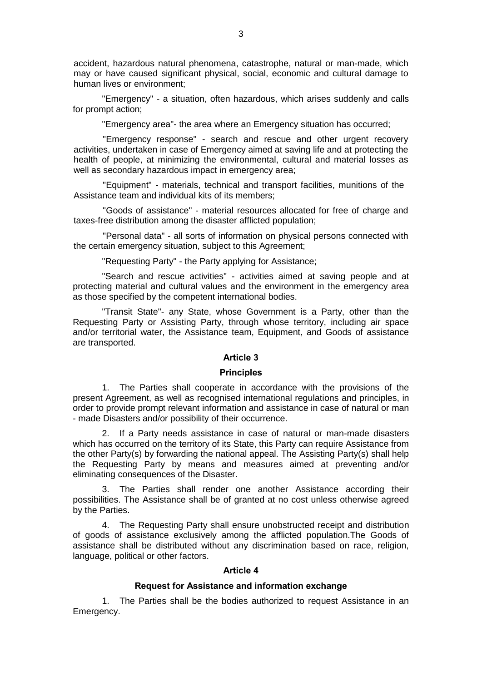accident, hazardous natural phenomena, catastrophe, natural or man-made, which may or have caused significant physical, social, economic and cultural damage to human lives or environment;

"Emergency" - a situation, often hazardous, which arises suddenly and calls for prompt action;

"Emergency area"- the area where an Emergency situation has occurred;

"Emergency response" - search and rescue and other urgent recovery activities, undertaken in case of Emergency aimed at saving life and at protecting the health of people, at minimizing the environmental, cultural and material losses as well as secondary hazardous impact in emergency area;

"Equipment" - materials, technical and transport facilities, munitions of the Assistance team and individual kits of its members;

"Goods of assistance" - material resources allocated for free of charge and taxes-free distribution among the disaster afflicted population;

"Personal data" - all sorts of information on physical persons connected with the certain emergency situation, subject to this Agreement;

"Requesting Party" - the Party applying for Assistance;

"Search and rescue activities" - activities aimed at saving people and at protecting material and cultural values and the environment in the emergency area as those specified by the competent international bodies.

"Transit State"- any State, whose Government is a Party, other than the Requesting Party or Assisting Party, through whose territory, including air space and/or territorial water, the Assistance team, Equipment, and Goods of assistance are transported.

# **Article 3**

#### **Principles**

1. The Parties shall cooperate in accordance with the provisions of the present Agreement, as well as recognised international regulations and principles, in order to provide prompt relevant information and assistance in case of natural or man - made Disasters and/or possibility of their occurrence.

2. If a Party needs assistance in case of natural or man-made disasters which has occurred on the territory of its State, this Party can require Assistance from the other Party(s) by forwarding the national appeal. The Assisting Party(s) shall help the Requesting Party by means and measures aimed at preventing and/or eliminating consequences of the Disaster.

3. The Parties shall render one another Assistance according their possibilities. The Assistance shall be of granted at no cost unless otherwise agreed by the Parties.

4. The Requesting Party shall ensure unobstructed receipt and distribution of goods of assistance exclusively among the afflicted population.The Goods of assistance shall be distributed without any discrimination based on race, religion, language, political or other factors.

# **Article 4**

# **Request for Assistance and information exchange**

1. The Parties shall be the bodies authorized to request Assistance in an Emergency.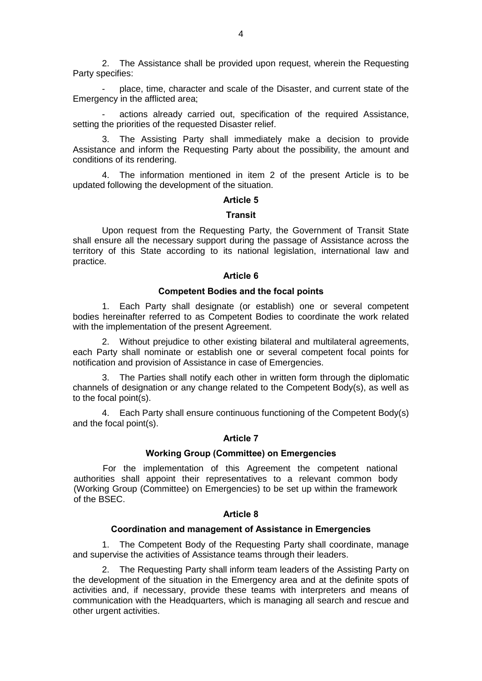2. The Assistance shall be provided upon request, wherein the Requesting Party specifies:

- place, time, character and scale of the Disaster, and current state of the Emergency in the afflicted area;

actions already carried out, specification of the required Assistance, setting the priorities of the requested Disaster relief.

3. The Assisting Party shall immediately make a decision to provide Assistance and inform the Requesting Party about the possibility, the amount and conditions of its rendering.

4. The information mentioned in item 2 of the present Article is to be updated following the development of the situation.

## **Article 5**

#### **Transit**

Upon request from the Requesting Party, the Government of Transit State shall ensure all the necessary support during the passage of Assistance across the territory of this State according to its national legislation, international law and practice.

# **Article 6**

# **Competent Bodies and the focal points**

1. Each Party shall designate (or establish) one or several competent bodies hereinafter referred to as Competent Bodies to coordinate the work related with the implementation of the present Agreement.

2. Without prejudice to other existing bilateral and multilateral agreements, each Party shall nominate or establish one or several competent focal points for notification and provision of Assistance in case of Emergencies.

3. The Parties shall notify each other in written form through the diplomatic channels of designation or any change related to the Competent Body(s), as well as to the focal point(s).

4. Each Party shall ensure continuous functioning of the Competent Body(s) and the focal point(s).

# **Article 7**

#### **Working Group (Committee) on Emergencies**

For the implementation of this Agreement the competent national authorities shall appoint their representatives to a relevant common body (Working Group (Committee) on Emergencies) to be set up within the framework of the BSEC.

## **Article 8**

## **Coordination and management of Assistance in Emergencies**

1. The Competent Body of the Requesting Party shall coordinate, manage and supervise the activities of Assistance teams through their leaders.

The Requesting Party shall inform team leaders of the Assisting Party on the development of the situation in the Emergency area and at the definite spots of activities and, if necessary, provide these teams with interpreters and means of communication with the Headquarters, which is managing all search and rescue and other urgent activities.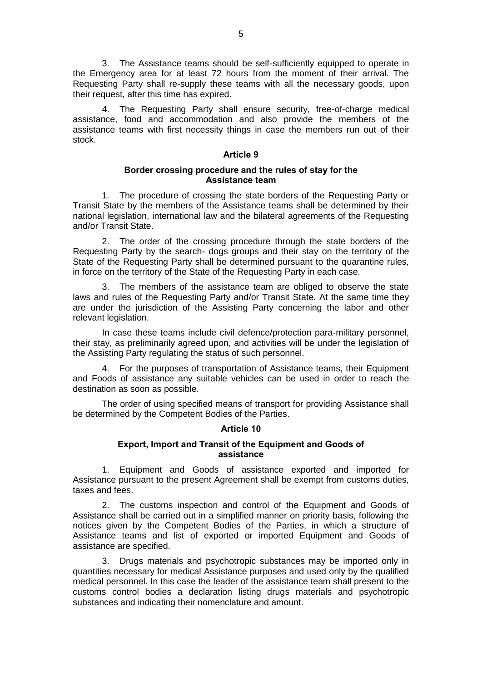3. The Assistance teams should be self-sufficiently equipped to operate in the Emergency area for at least 72 hours from the moment of their arrival. The Requesting Party shall re-supply these teams with all the necessary goods, upon their request, after this time has expired.

The Requesting Party shall ensure security, free-of-charge medical assistance, food and accommodation and also provide the members of the assistance teams with first necessity things in case the members run out of their stock.

## **Article 9**

# **Border crossing procedure and the rules of stay for the Assistance team**

1. The procedure of crossing the state borders of the Requesting Party or Transit State by the members of the Assistance teams shall be determined by their national legislation, international law and the bilateral agreements of the Requesting and/or Transit State.

2. The order of the crossing procedure through the state borders of the Requesting Party by the search- dogs groups and their stay on the territory of the State of the Requesting Party shall be determined pursuant to the quarantine rules, in force on the territory of the State of the Requesting Party in each case.

3. The members of the assistance team are obliged to observe the state laws and rules of the Requesting Party and/or Transit State. At the same time they are under the jurisdiction of the Assisting Party concerning the labor and other relevant legislation.

In case these teams include civil defence/protection para-military personnel, their stay, as preliminarily agreed upon, and activities will be under the legislation of the Assisting Party regulating the status of such personnel.

4. For the purposes of transportation of Assistance teams, their Equipment and Foods of assistance any suitable vehicles can be used in order to reach the destination as soon as possible.

The order of using specified means of transport for providing Assistance shall be determined by the Competent Bodies of the Parties.

# **Article 10**

# **Export, Import and Transit of the Equipment and Goods of assistance**

1. Equipment and Goods of assistance exported and imported for Assistance pursuant to the present Agreement shall be exempt from customs duties, taxes and fees.

2. The customs inspection and control of the Equipment and Goods of Assistance shall be carried out in a simplified manner on priority basis, following the notices given by the Competent Bodies of the Parties, in which a structure of Assistance teams and list of exported or imported Equipment and Goods of assistance are specified.

3. Drugs materials and psychotropic substances may be imported only in quantities necessary for medical Assistance purposes and used only by the qualified medical personnel. In this case the leader of the assistance team shall present to the customs control bodies a declaration listing drugs materials and psychotropic substances and indicating their nomenclature and amount.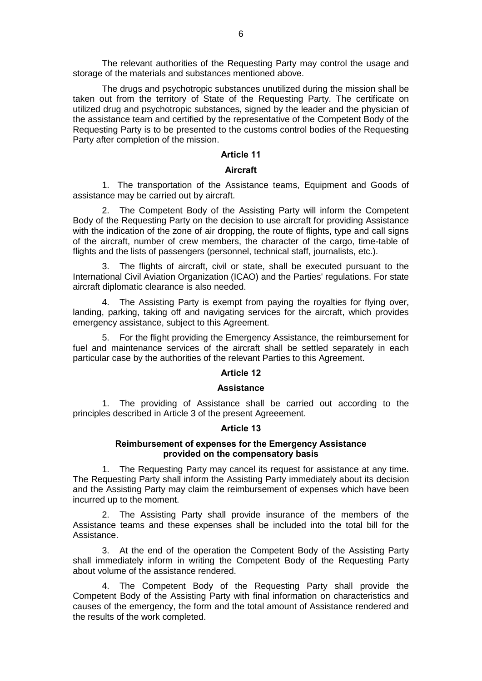The relevant authorities of the Requesting Party may control the usage and storage of the materials and substances mentioned above.

The drugs and psychotropic substances unutilized during the mission shall be taken out from the territory of State of the Requesting Party. The certificate on utilized drug and psychotropic substances, signed by the leader and the physician of the assistance team and certified by the representative of the Competent Body of the Requesting Party is to be presented to the customs control bodies of the Requesting Party after completion of the mission.

# **Article 11**

# **Aircraft**

1. The transportation of the Assistance teams, Equipment and Goods of assistance may be carried out by aircraft.

2. The Competent Body of the Assisting Party will inform the Competent Body of the Requesting Party on the decision to use aircraft for providing Assistance with the indication of the zone of air dropping, the route of flights, type and call signs of the aircraft, number of crew members, the character of the cargo, time-table of flights and the lists of passengers (personnel, technical staff, journalists, etc.).

3. The flights of aircraft, civil or state, shall be executed pursuant to the International Civil Aviation Organization (ICAO) and the Parties' regulations. For state aircraft diplomatic clearance is also needed.

4. The Assisting Party is exempt from paying the royalties for flying over, landing, parking, taking off and navigating services for the aircraft, which provides emergency assistance, subject to this Agreement.

5. For the flight providing the Emergency Assistance, the reimbursement for fuel and maintenance services of the aircraft shall be settled separately in each particular case by the authorities of the relevant Parties to this Agreement.

# **Article 12**

# **Assistance**

1. The providing of Assistance shall be carried out according to the principles described in Article 3 of the present Agreeement.

## **Article 13**

# **Reimbursement of expenses for the Emergency Assistance provided on the compensatory basis**

1. The Requesting Party may cancel its request for assistance at any time. The Requesting Party shall inform the Assisting Party immediately about its decision and the Assisting Party may claim the reimbursement of expenses which have been incurred up to the moment.

2. The Assisting Party shall provide insurance of the members of the Assistance teams and these expenses shall be included into the total bill for the Assistance.

3. At the end of the operation the Competent Body of the Assisting Party shall immediately inform in writing the Competent Body of the Requesting Party about volume of the assistance rendered.

4. The Competent Body of the Requesting Party shall provide the Competent Body of the Assisting Party with final information on characteristics and causes of the emergency, the form and the total amount of Assistance rendered and the results of the work completed.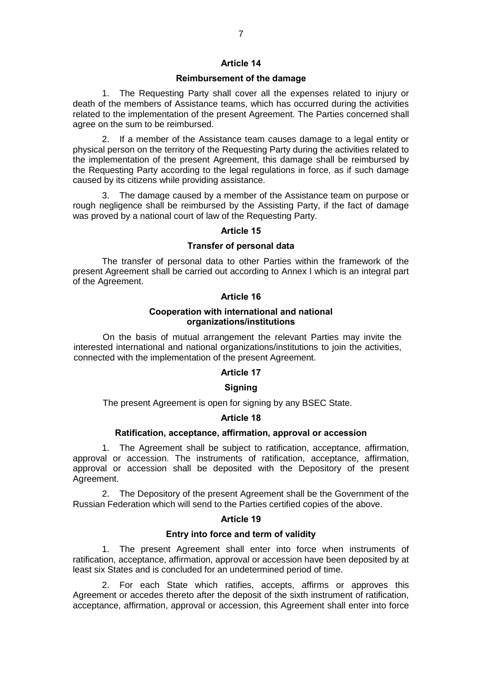# **Article 14**

## **Reimbursement of the damage**

1. The Requesting Party shall cover all the expenses related to injury or death of the members of Assistance teams, which has occurred during the activities related to the implementation of the present Agreement. The Parties concerned shall agree on the sum to be reimbursed.

2. If a member of the Assistance team causes damage to a legal entity or physical person on the territory of the Requesting Party during the activities related to the implementation of the present Agreement, this damage shall be reimbursed by the Requesting Party according to the legal regulations in force, as if such damage caused by its citizens while providing assistance.

3. The damage caused by a member of the Assistance team on purpose or rough negligence shall be reimbursed by the Assisting Party, if the fact of damage was proved by a national court of law of the Requesting Party.

## **Article 15**

# **Transfer of personal data**

The transfer of personal data to other Parties within the framework of the present Agreement shall be carried out according to Annex I which is an integral part of the Agreement.

## **Article 16**

# **Cooperation with international and national organizations/institutions**

On the basis of mutual arrangement the relevant Parties may invite the interested international and national organizations/institutions to join the activities, connected with the implementation of the present Agreement.

#### **Article 17**

# **Signing**

The present Agreement is open for signing by any BSEC State.

# **Article 18**

## **Ratification, acceptance, affirmation, approval or accession**

1. The Agreement shall be subject to ratification, acceptance, affirmation, approval or accession. The instruments of ratification, acceptance, affirmation, approval or accession shall be deposited with the Depository of the present Agreement.

2. The Depository of the present Agreement shall be the Government of the Russian Federation which will send to the Parties certified copies of the above.

## **Article 19**

#### **Entry into force and term of validity**

1. The present Agreement shall enter into force when instruments of ratification, acceptance, affirmation, approval or accession have been deposited by at least six States and is concluded for an undetermined period of time.

2. For each State which ratifies, accepts, affirms or approves this Agreement or accedes thereto after the deposit of the sixth instrument of ratification, acceptance, affirmation, approval or accession, this Agreement shall enter into force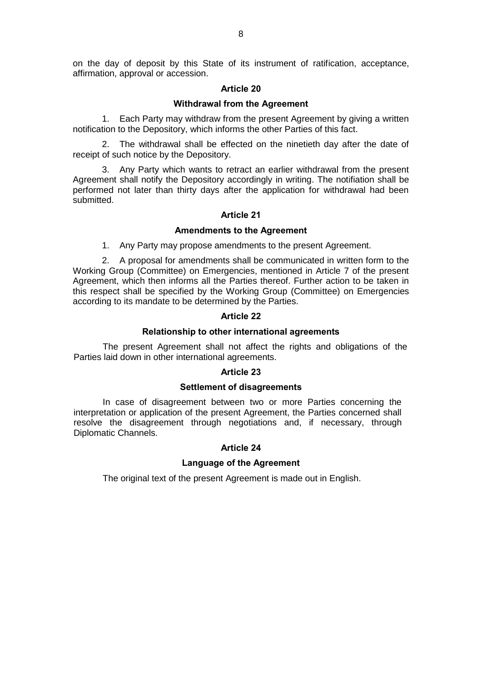on the day of deposit by this State of its instrument of ratification, acceptance, affirmation, approval or accession.

# **Article 20**

# **Withdrawal from the Agreement**

1. Each Party may withdraw from the present Agreement by giving a written notification to the Depository, which informs the other Parties of this fact.

2. The withdrawal shall be effected on the ninetieth day after the date of receipt of such notice by the Depository.

3. Any Party which wants to retract an earlier withdrawal from the present Agreement shall notify the Depository accordingly in writing. The notifiation shall be performed not later than thirty days after the application for withdrawal had been submitted.

## **Article 21**

# **Amendments to the Agreement**

1. Any Party may propose amendments to the present Agreement.

2. A proposal for amendments shall be communicated in written form to the Working Group (Committee) on Emergencies, mentioned in Article 7 of the present Agreement, which then informs all the Parties thereof. Further action to be taken in this respect shall be specified by the Working Group (Committee) on Emergencies according to its mandate to be determined by the Parties.

## **Article 22**

## **Relationship to other international agreements**

The present Agreement shall not affect the rights and obligations of the Parties laid down in other international agreements.

# **Article 23**

# **Settlement of disagreements**

In case of disagreement between two or more Parties concerning the interpretation or application of the present Agreement, the Parties concerned shall resolve the disagreement through negotiations and, if necessary, through Diplomatic Channels.

# **Article 24**

#### **Language of the Agreement**

The original text of the present Agreement is made out in English.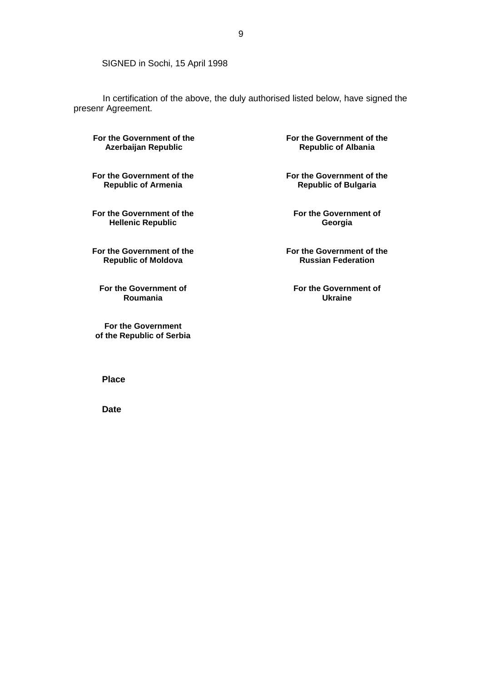SIGNED in Sochi, 15 April 1998

In certification of the above, the duly authorised listed below, have signed the presenr Agreement.

**For the Government of the Azerbaijan Republic**

**For the Government of the Republic of Armenia**

**For the Government of the Hellenic Republic**

**For the Government of the Republic of Moldova**

**For the Government of Roumania**

**For the Government of the Republic of Serbia** **For the Government of the Republic of Albania**

**For the Government of the Republic of Bulgaria**

**For the Government of Georgia**

**For the Government of the Russian Federation**

**For the Government of Ukraine**

9

**Place**

**Date**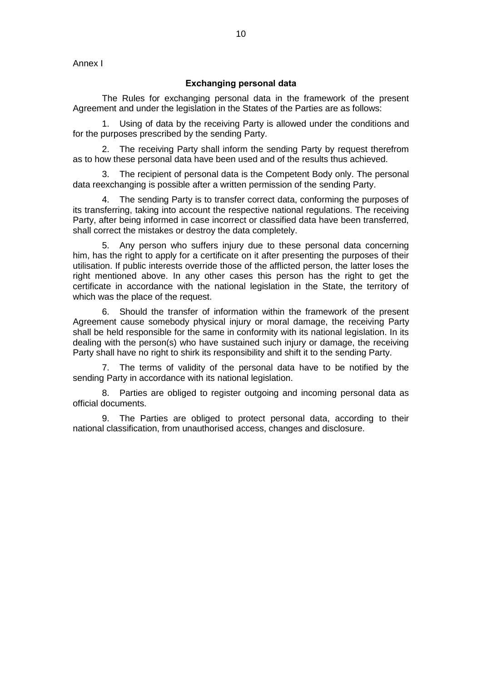Annex I

# **Exchanging personal data**

The Rules for exchanging personal data in the framework of the present Agreement and under the legislation in the States of the Parties are as follows:

1. Using of data by the receiving Party is allowed under the conditions and for the purposes prescribed by the sending Party.

2. The receiving Party shall inform the sending Party by request therefrom as to how these personal data have been used and of the results thus achieved.

3. The recipient of personal data is the Competent Body only. The personal data reexchanging is possible after a written permission of the sending Party.

The sending Party is to transfer correct data, conforming the purposes of its transferring, taking into account the respective national regulations. The receiving Party, after being informed in case incorrect or classified data have been transferred, shall correct the mistakes or destroy the data completely.

5. Any person who suffers injury due to these personal data concerning him, has the right to apply for a certificate on it after presenting the purposes of their utilisation. If public interests override those of the afflicted person, the latter loses the right mentioned above. In any other cases this person has the right to get the certificate in accordance with the national legislation in the State, the territory of which was the place of the request.

6. Should the transfer of information within the framework of the present Agreement cause somebody physical injury or moral damage, the receiving Party shall be held responsible for the same in conformity with its national legislation. In its dealing with the person(s) who have sustained such injury or damage, the receiving Party shall have no right to shirk its responsibility and shift it to the sending Party.

7. The terms of validity of the personal data have to be notified by the sending Party in accordance with its national legislation.

8. Parties are obliged to register outgoing and incoming personal data as official documents.

9. The Parties are obliged to protect personal data, according to their national classification, from unauthorised access, changes and disclosure.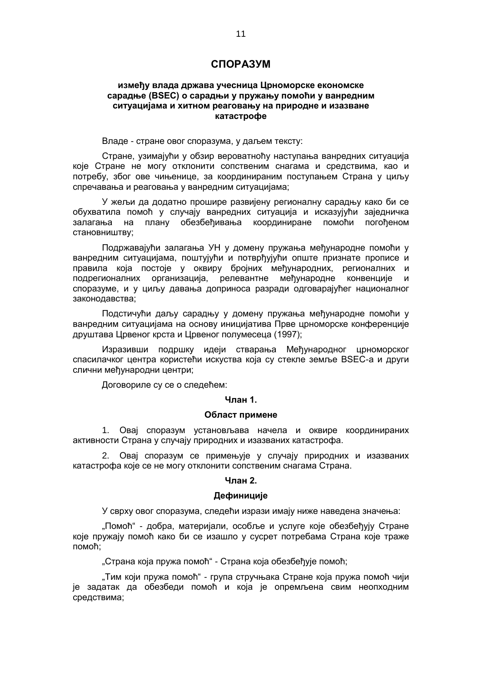# **СПОРАЗУМ**

# **између влада држава учесница Црноморске економске сарадње (BSEC) о сарадњи у пружању помоћи у ванредним ситуацијама и хитном реаговању на природне и изазване катастрофе**

Владе - стране овог споразума, у даљем тексту:

Стране, узимајући у обзир вероватноћу наступања ванредних ситуација које Стране не могу отклонити сопственим снагама и средствима, као и потребу, због ове чињенице, за координираним поступањем Страна у циљу спречавања и реаговања у ванредним ситуацијама;

У жељи да додатно прошире развијену регионалну сарадњу како би се обухватила помоћ у случају ванредних ситуација и исказујући заједничка залагања на плану обезбеђивања координиране помоћи погођеном становништву;

Подржавајући залагања УН у домену пружања међународне помоћи у ванредним ситуацијама, поштујући и потврђујући опште признате прописе и правила која постоје у оквиру бројних међународних, регионалних и подрегионалних организација, релевантне међународне конвенције и споразуме, и у циљу давања доприноса разради одговарајућег националног законодавства;

Подстичући даљу сарадњу у домену пружања међународне помоћи у ванредним ситуацијама на основу иницијатива Прве црноморске конференције друштава Црвеног крста и Црвеног полумесеца (1997);

Изразивши подршку идеји стварања Међународног црноморског спасилачког центра користећи искуства која су стекле земље BSEC-а и други слични међународни центри;

Договориле су се о следећем:

## **Члан 1.**

### **Област примене**

1. Овај споразум установљава начела и оквире координираних активности Страна у случају природних и изазваних катастрофа.

2. Овај споразум се примењује у случају природних и изазваних катастрофа које се не могу отклонити сопственим снагама Страна.

#### **Члан 2.**

## **Дефиниције**

У сврху овог споразума, следећи изрази имају ниже наведена значења:

"Помоћ" - добра, материјали, особље и услуге које обезбеђују Стране које пружају помоћ како би се изашло у сусрет потребама Страна које траже помоћ;

"Страна која пружа помоћ" - Страна која обезбеђује помоћ;

"Тим који пружа помоћ" - група стручњака Стране која пружа помоћ чији је задатак да обезбеди помоћ и која је опремљена свим неопходним средствима;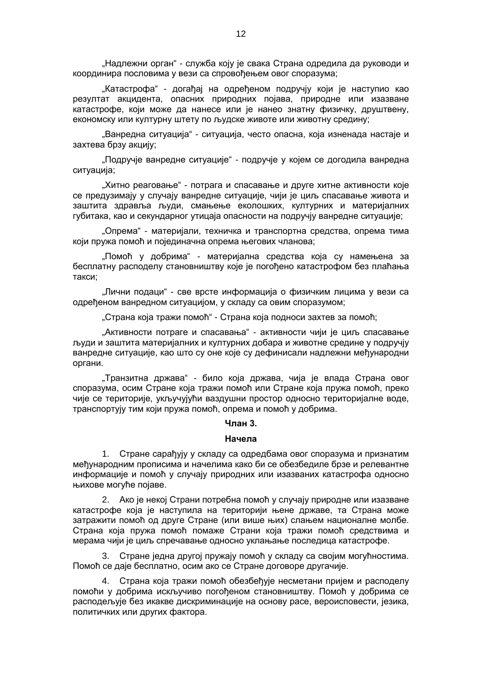"Надлежни орган" - служба коју је свака Страна одредила да руководи и координира пословима у вези са спровођењем овог споразума;

"Катастрофа" - догађај на одређеном подручју који је наступио као резултат акцидента, опасних природних појава, природне или изазване катастрофе, који може да нанесе или је нанео знатну физичку, друштвену, економску или културну штету по људске животе или животну средину;

"Ванредна ситуација" - ситуација, често опасна, која изненада настаје и захтева брзу акцију;

"Подручје ванредне ситуације" - подручје у којем се догодила ванредна ситуација;

"Хитно реаговање" - потрага и спасавање и друге хитне активности које се предузимају у случају ванредне ситуације, чији је циљ спасавање живота и заштита здравља људи, смањење еколошких, културних и материјалних губитака, као и секундарног утицаја опасности на подручју ванредне ситуације;

"Опрема" - материјали, техничка и транспортна средства, опрема тима који пружа помоћ и појединачна опрема његових чланова;

"Помоћ у добрима" - материјална средства која су намењена за бесплатну расподелу становништву које је погођено катастрофом без плаћања такси;

"Лични подаци" - све врсте информација о физичким лицима у вези са одређеном ванредном ситуацијом, у складу са овим споразумом;

"Страна која тражи помоћ" - Страна која подноси захтев за помоћ;

"Активности потраге и спасавања" - активности чији је циљ спасавање људи и заштита материјалних и културних добара и животне средине у подручју ванредне ситуације, као што су оне које су дефинисали надлежни међународни органи.

"Транзитна држава" - било која држава, чија је влада Страна овог споразума, осим Стране која тражи помоћ или Стране која пружа помоћ, преко чије се територије, укључујући ваздушни простор односно територијалне воде, транспортују тим који пружа помоћ, опрема и помоћ у добрима.

#### **Члан 3.**

#### **Начела**

1. Стране сарађују у складу са одредбама овог споразума и признатим међународним прописима и начелима како би се обезбедиле брзе и релевантне информације и помоћ у случају природних или изазваних катастрофа односно њихове могуће појаве.

2. Ако је некој Страни потребна помоћ у случају природне или изазване катастрофе која је наступила на територији њене државе, та Страна може затражити помоћ од друге Стране (или више њих) слањем националне молбе. Страна која пружа помоћ помаже Страни која тражи помоћ средствима и мерама чији је циљ спречавање односно уклањање последица катастрофе.

3. Стране једна другој пружају помоћ у складу са својим могућностима. Помоћ се даје бесплатно, осим ако се Стране договоре другачије.

4. Страна која тражи помоћ обезбеђује несметани пријем и расподелу помоћи у добрима искључиво погођеном становништву. Помоћ у добрима се расподељује без икакве дискриминације на основу расе, вероисповести, језика, политичких или других фактора.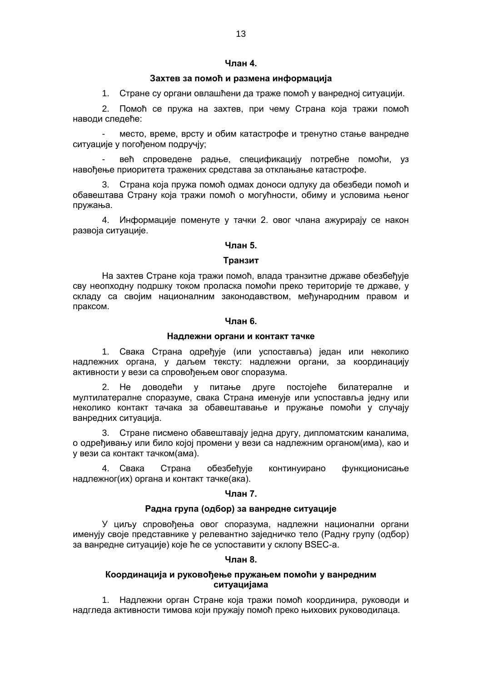#### **Члан 4.**

## **Захтев за помоћ и размена информација**

1. Стране су органи овлашћени да траже помоћ у ванредној ситуацији.

2. Помоћ се пружа на захтев, при чему Страна која тражи помоћ наводи следеће:

- место, време, врсту и обим катастрофе и тренутно стање ванредне ситуације у погођеном подручју;

- већ спроведене радње, спецификацију потребне помоћи, уз навођење приоритета тражених средстава за отклањање катастрофе.

3. Страна која пружа помоћ одмах доноси одлуку да обезбеди помоћ и обавештава Страну која тражи помоћ о могућности, обиму и условима њеног пружања.

4. Информације поменуте у тачки 2. овог члана ажурирају се након развоја ситуације.

## **Члан 5.**

#### **Транзит**

На захтев Стране која тражи помоћ, влада транзитне државе обезбеђује сву неопходну подршку током проласка помоћи преко територије те државе, у складу са својим националним законодавством, међународним правом и праксом.

#### **Члан 6.**

# **Надлежни органи и контакт тачке**

1. Свака Страна одређује (или успоставља) један или неколико надлежних органа, у даљем тексту: надлежни органи, за координацију активности у вези са спровођењем овог споразума.

2. Не доводећи у питање друге постојеће билатералне и мултилатералне споразуме, свака Страна именује или успоставља једну или неколико контакт тачака за обавештавање и пружање помоћи у случају ванредних ситуација.

3. Стране писмено обавештавају једна другу, дипломатским каналима, о одређивању или било којој промени у вези са надлежним органом(има), као и у вези са контакт тачком(ама).

4. Свака Страна обезбеђује континуирано функционисање надлежног(их) органа и контакт тачке(ака).

#### **Члан 7.**

#### **Радна група (одбор) за ванредне ситуације**

У циљу спровођења овог споразума, надлежни национални органи именују своје представнике у релевантно заједничко тело (Радну групу (одбор) за ванредне ситуације) које ће се успоставити у склопу BSEC-а.

## **Члан 8.**

## **Координација и руковођење пружањем помоћи у ванредним ситуацијама**

1. Надлежни орган Стране која тражи помоћ координира, руководи и надгледа активности тимова који пружају помоћ преко њихових руководилаца.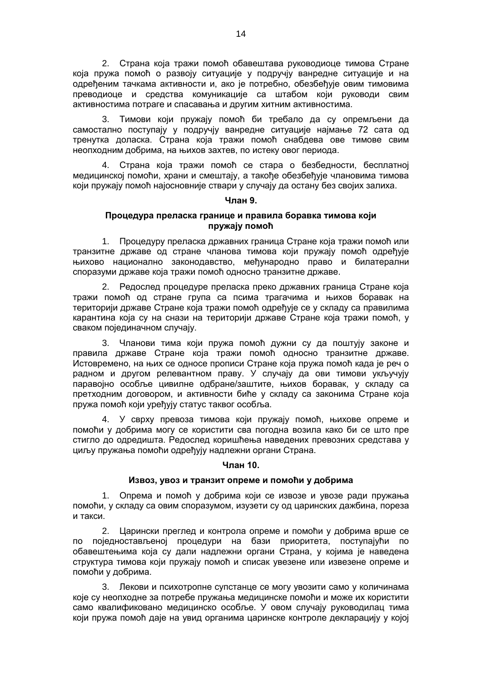2. Страна која тражи помоћ обавештава руководиоце тимова Стране која пружа помоћ о развоју ситуације у подручју ванредне ситуације и на одређеним тачкама активности и, ако је потребно, обезбеђује овим тимовима преводиоце и средства комуникације са штабом који руководи свим активностима потраге и спасавања и другим хитним активностима.

3. Тимови који пружају помоћ би требало да су опремљени да самостално поступају у подручју ванредне ситуације најмање 72 сата од тренутка доласка. Страна која тражи помоћ снабдева ове тимове свим неопходним добрима, на њихов захтев, по истеку овог периода.

4. Страна која тражи помоћ се стара о безбедности, бесплатној медицинској помоћи, храни и смештају, а такође обезбеђује члановима тимова који пружају помоћ најосновније ствари у случају да остану без својих залиха.

## **Члан 9.**

# **Процедура преласка границе и правила боравка тимова који пружају помоћ**

1. Процедуру преласка државних граница Стране која тражи помоћ или транзитне државе од стране чланова тимова који пружају помоћ одређује њихово национално законодавство, међународно право и билатерални споразуми државе која тражи помоћ односно транзитне државе.

2. Редослед процедуре преласка преко државних граница Стране која тражи помоћ од стране група са псима трагачима и њихов боравак на територији државе Стране која тражи помоћ одређује се у складу са правилима карантина која су на снази на територији државе Стране која тражи помоћ, у сваком појединачном случају.

3. Чланови тима који пружа помоћ дужни су да поштују законе и правила државе Стране која тражи помоћ односно транзитне државе. Истовремено, на њих се односе прописи Стране која пружа помоћ када је реч о радном и другом релевантном праву. У случају да ови тимови укључују паравојно особље цивилне одбране/заштите, њихов боравак, у складу са претходним договором, и активности биће у складу са законима Стране која пружа помоћ који уређују статус таквог особља.

4. У сврху превоза тимова који пружају помоћ, њихове опреме и помоћи у добрима могу се користити сва погодна возила како би се што пре стигло до одредишта. Редослед коришћења наведених превозних средстава у циљу пружања помоћи одређују надлежни органи Страна.

# **Члан 10.**

# **Извоз, увоз и транзит опреме и помоћи у добрима**

1. Опрема и помоћ у добрима који се извозе и увозе ради пружања помоћи, у складу са овим споразумом, изузети су од царинских дажбина, пореза и такси.

2. Царински преглед и контрола опреме и помоћи у добрима врше се по поједностављеној процедури на бази приоритета, поступајући по обавештењима која су дали надлежни органи Страна, у којима је наведена структура тимова који пружају помоћ и списак увезене или извезене опреме и помоћи у добрима.

3. Лекови и психотропне супстанце се могу увозити само у количинама које су неопходне за потребе пружања медицинске помоћи и може их користити само квалификовано медицинско особље. У овом случају руководилац тима који пружа помоћ даје на увид органима царинске контроле декларацију у којој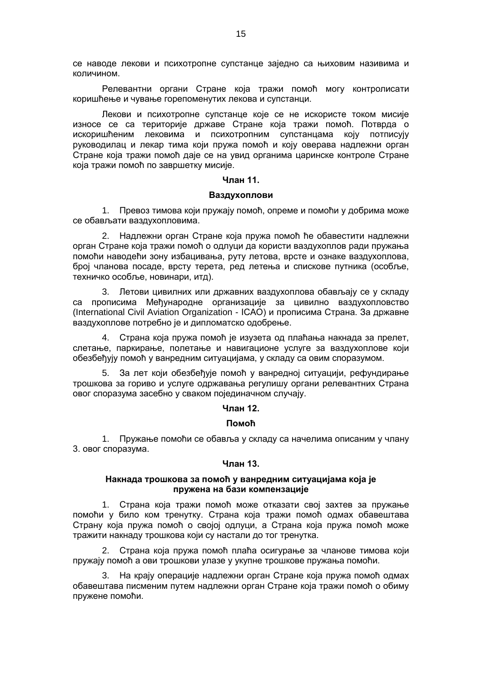се наводе лекови и психотропне супстанце заједно са њиховим називима и количином.

Релевантни органи Стране која тражи помоћ могу контролисати коришћење и чување горепоменутих лекова и супстанци.

Лекови и психотропне супстанце које се не искористе током мисије износе се са територије државе Стране која тражи помоћ. Потврда о искоришћеним лековима и психотропним супстанцама коју потписују руководилац и лекар тима који пружа помоћ и коју оверава надлежни орган Стране која тражи помоћ даје се на увид органима царинске контроле Стране која тражи помоћ по завршетку мисије.

## **Члан 11.**

#### **Ваздухоплови**

1. Превоз тимова који пружају помоћ, опреме и помоћи у добрима може се обављати ваздухопловима.

2. Надлежни орган Стране која пружа помоћ ће обавестити надлежни орган Стране која тражи помоћ о одлуци да користи ваздухоплов ради пружања помоћи наводећи зону избацивања, руту летова, врсте и ознаке ваздухоплова, број чланова посаде, врсту терета, ред летења и спискове путника (особље, техничко особље, новинари, итд).

3. Летови цивилних или државних ваздухоплова обављају се у складу са прописима Међународне организације за цивилно ваздухопловство (International Civil Aviation Organization - ICAO) и прописима Страна. За државне ваздухоплове потребно је и дипломатско одобрење.

4. Страна која пружа помоћ је изузета од плаћања накнада за прелет, слетање, паркирање, полетање и навигационе услуге за ваздухоплове који обезбеђују помоћ у ванредним ситуацијама, у складу са овим споразумом.

5. За лет који обезбеђује помоћ у ванредној ситуацији, рефундирање трошкова за гориво и услуге одржавања регулишу органи релевантних Страна овог споразума засебно у сваком појединачном случају.

# **Члан 12.**

#### **Помоћ**

1. Пружање помоћи се обавља у складу са начелима описаним у члану 3. овог споразума.

#### **Члан 13.**

## **Накнада трошкова за помоћ у ванредним ситуацијама која је пружена на бази компензације**

1. Страна која тражи помоћ може отказати свој захтев за пружање помоћи у било ком тренутку. Страна која тражи помоћ одмах обавештава Страну која пружа помоћ о својој одлуци, а Страна која пружа помоћ може тражити накнаду трошкова који су настали до тог тренутка.

2. Страна која пружа помоћ плаћа осигурање за чланове тимова који пружају помоћ а ови трошкови улазе у укупне трошкове пружања помоћи.

3. На крају операције надлежни орган Стране која пружа помоћ одмах обавештава писменим путем надлежни орган Стране која тражи помоћ о обиму пружене помоћи.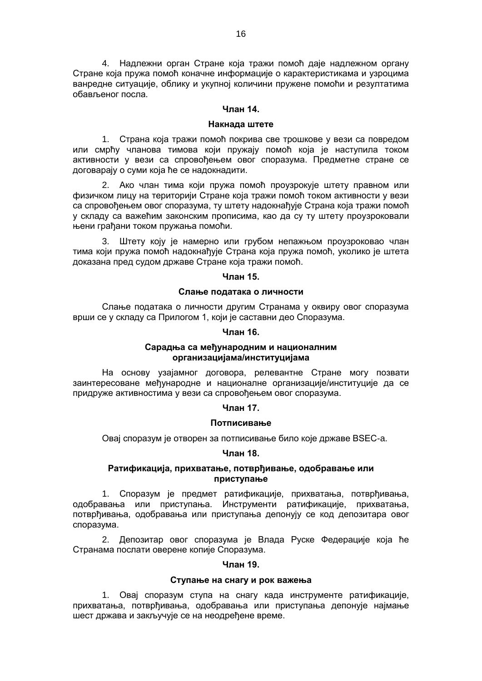4. Надлежни орган Стране која тражи помоћ даје надлежном органу Стране која пружа помоћ коначне информације о карактеристикама и узроцима ванредне ситуације, облику и укупној количини пружене помоћи и резултатима обављеног посла.

#### **Члан 14.**

## **Накнада штете**

1. Страна која тражи помоћ покрива све трошкове у вези са повредом или смрћу чланова тимова који пружају помоћ која је наступила током активности у вези са спровођењем овог споразума. Предметне стране се договарају о суми која ће се надокнадити.

2. Ако члан тима који пружа помоћ проузрокује штету правном или физичком лицу на територији Стране која тражи помоћ током активности у вези са спровођењем овог споразума, ту штету надокнађује Страна која тражи помоћ у складу са важећим законским прописима, као да су ту штету проузроковали њени грађани током пружања помоћи.

3. Штету коју је намерно или грубом непажњом проузроковао члан тима који пружа помоћ надокнађује Страна која пружа помоћ, уколико је штета доказана пред судом државе Стране која тражи помоћ.

#### **Члан 15.**

## **Слање података о личности**

Слање података о личности другим Странама у оквиру овог споразума врши се у складу са Прилогом 1, који је саставни део Споразума.

## **Члан 16.**

## **Сарадња са међународним и националним организацијама/институцијама**

На основу узајамног договора, релевантне Стране могу позвати заинтересоване међународне и националне организације/институције да се придруже активностима у вези са спровођењем овог споразума.

#### **Члан 17.**

#### **Потписивање**

Овај споразум је отворен за потписивање било које државе BSEC-a.

# **Члан 18.**

# **Ратификација, прихватање, потврђивање, одобравање или приступање**

1. Споразум је предмет ратификације, прихватања, потврђивања, одобравања или приступања. Инструменти ратификације, прихватања, потврђивања, одобравања или приступања депонују се код депозитара овог споразума.

2. Депозитар овог споразума је Влада Руске Федерације која ће Странама послати оверене копије Споразума.

#### **Члан 19.**

## **Ступање на снагу и рок важења**

1. Овај споразум ступа на снагу када инструменте ратификације, прихватања, потврђивања, одобравања или приступања депонује најмање шест држава и закључује се на неодређене време.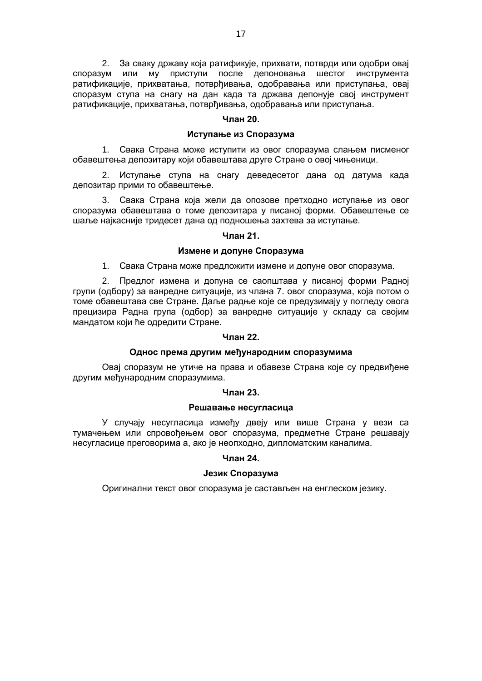2. За сваку државу која ратификује, прихвати, потврди или одобри овај<br>ум или му приступи после депоновања шестог инструмента споразум или му приступи после депоновања шестог инструмента ратификације, прихватања, потврђивања, одобравања или приступања, овај споразум ступа на снагу на дан када та држава депонује свој инструмент ратификације, прихватања, потврђивања, одобравања или приступања.

# **Члан 20.**

## **Иступање из Споразума**

1. Свака Страна може иступити из овог споразума слањем писменог обавештења депозитару који обавештава друге Стране о овој чињеници.

2. Иступање ступа на снагу деведесетог дана од датума када депозитар прими то обавештење.

3. Свака Страна која жели да опозове претходно иступање из овог споразума обавештава о томе депозитара у писаној форми. Обавештење се шаље најкасније тридесет дана од подношења захтева за иступање.

## **Члан 21.**

#### **Измене и допуне Споразума**

1. Свака Страна може предложити измене и допуне овог споразума.

2. Предлог измена и допуна се саопштава у писаној форми Радној групи (одбору) за ванредне ситуације, из члана 7. овог споразума, која потом о томе обавештава све Стране. Даље радње које се предузимају у погледу овога прецизира Радна група (одбор) за ванредне ситуације у складу са својим мандатом који ће одредити Стране.

## **Члан 22.**

## **Однос према другим међународним споразумима**

Овај споразум не утиче на права и обавезе Страна које су предвиђене другим међународним споразумима.

#### **Члан 23.**

#### **Решавање несугласица**

У случају несугласица између двеју или више Страна у вези са тумачењем или спровођењем овог споразума, предметне Стране решавају несугласице преговорима а, ако је неопходно, дипломатским каналима.

# **Члан 24.**

# **Језик Споразума**

Оригинални текст овог споразума је састављен на енглеском језику.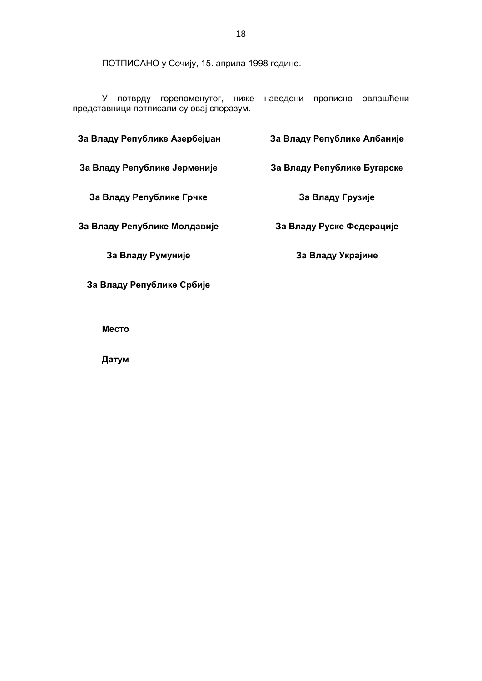ПОТПИСАНО у Сочију, 15. априла 1998 године.

У потврду горепоменутог, ниже наведени прописно овлашћени представници потписали су овај споразум.

| За Владу Републике Азербејџан | За Владу Републике Албаније |
|-------------------------------|-----------------------------|
| За Владу Републике Јерменије  | За Владу Републике Бугарске |
| За Владу Републике Грчке      | За Владу Грузије            |
| За Владу Републике Молдавије  | За Владу Руске Федерације   |
| За Владу Румуније             | За Владу Украјине           |
| За Владу Републике Србије     |                             |

**Место**

**Датум**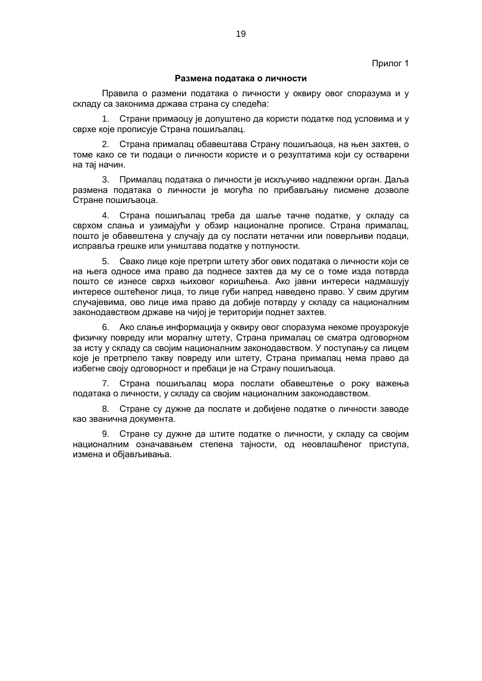#### **Размена података о личности**

Правила о размени података о личности у оквиру овог споразума и у складу са законима држава страна су следећа:

1. Страни примаоцу је допуштено да користи податке под условима и у сврхе које прописује Страна пошиљалац.

2. Страна прималац обавештава Страну пошиљаоца, на њен захтев, о томе како се ти подаци о личности користе и о резултатима који су остварени на тај начин.

3. Прималац података о личности је искључиво надлежни орган. Даља размена података о личности је могућа по прибављању писмене дозволе Стране пошиљаоца.

4. Страна пошиљалац треба да шаље тачне податке, у складу са сврхом слања и узимајући у обзир националне прописе. Страна прималац, пошто је обавештена у случају да су послати нетачни или поверљиви подаци, исправља грешке или уништава податке у потпуности.

5. Свако лице које претрпи штету због ових података о личности који се на њега односе има право да поднесе захтев да му се о томе изда потврда пошто се изнесе сврха њиховог коришћења. Ако јавни интереси надмашују интересе оштећеног лица, то лице губи напред наведено право. У свим другим случајевима, ово лице има право да добије потврду у складу са националним законодавством државе на чијој је територији поднет захтев.

6. Ако слање информација у оквиру овог споразума некоме проузрокује физичку повреду или моралну штету, Страна прималац се сматра одговорном за исту у складу са својим националним законодавством. У поступању са лицем које је претрпело такву повреду или штету, Страна прималац нема право да избегне своју одговорност и пребаци је на Страну пошиљаоца.

7. Страна пошиљалац мора послати обавештење о року важења података о личности, у складу са својим националним законодавством.

8. Стране су дужне да послате и добијене податке о личности заводе као званична документа.

9. Стране су дужне да штите податке о личности, у складу са својим националним означавањем степена тајности, од неовлашћеног приступа, измена и објављивања.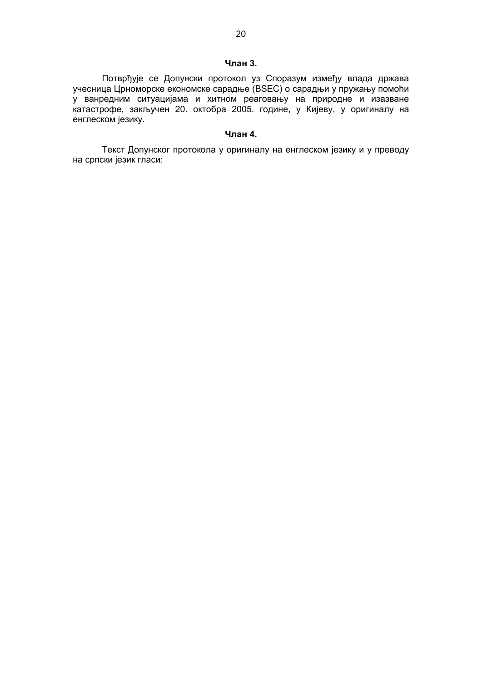# **Члан 3.**

Потврђује се Допунски протокол уз Споразум између влада држава учесница Црноморске економске сарадње (BSEC) о сарадњи у пружању помоћи у ванредним ситуацијама и хитном реаговању на природне и изазване катастрофе, закључен 20. октобра 2005. године, у Кијеву, у оригиналу на енглеском језику.

# **Члан 4.**

Текст Допунског протокола у оригиналу на енглеском језику и у преводу на српски језик гласи: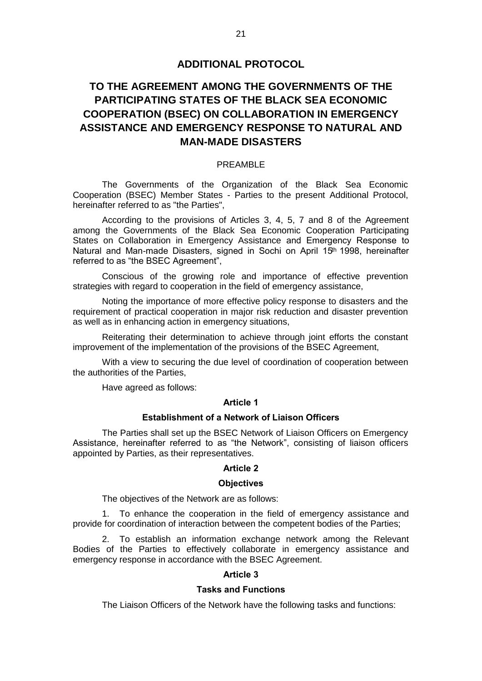# **ADDITIONAL PROTOCOL**

# **TO THE AGREEMENT AMONG THE GOVERNMENTS OF THE PARTICIPATING STATES OF THE BLACK SEA ECONOMIC COOPERATION (BSEC) ON COLLABORATION IN EMERGENCY ASSISTANCE AND EMERGENCY RESPONSE TO NATURAL AND MAN-MADE DISASTERS**

# PREAMBLE

The Governments of the Organization of the Black Sea Economic Cooperation (BSEC) Member States - Parties to the present Additional Protocol, hereinafter referred to as "the Parties",

According to the provisions of Articles 3, 4, 5, 7 and 8 of the Agreement among the Governments of the Black Sea Economic Cooperation Participating States on Collaboration in Emergency Assistance and Emergency Response to Natural and Man-made Disasters, signed in Sochi on April 15<sup>th</sup> 1998, hereinafter referred to as "the BSEC Agreement",

Conscious of the growing role and importance of effective prevention strategies with regard to cooperation in the field of emergency assistance,

Noting the importance of more effective policy response to disasters and the requirement of practical cooperation in major risk reduction and disaster prevention as well as in enhancing action in emergency situations,

Reiterating their determination to achieve through joint efforts the constant improvement of the implementation of the provisions of the BSEC Agreement,

With a view to securing the due level of coordination of cooperation between the authorities of the Parties,

Have agreed as follows:

# **Article 1**

## **Establishment of a Network of Liaison Officers**

The Parties shall set up the BSEC Network of Liaison Officers on Emergency Assistance, hereinafter referred to as "the Network", consisting of liaison officers appointed by Parties, as their representatives.

# **Article 2**

#### **Objectives**

The objectives of the Network are as follows:

1. To enhance the cooperation in the field of emergency assistance and provide for coordination of interaction between the competent bodies of the Parties;

2. To establish an information exchange network among the Relevant Bodies of the Parties to effectively collaborate in emergency assistance and emergency response in accordance with the BSEC Agreement.

# **Article 3**

# **Tasks and Functions**

The Liaison Officers of the Network have the following tasks and functions: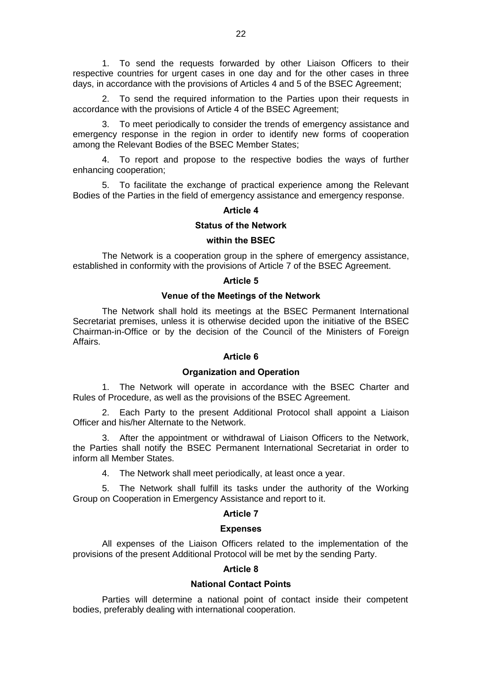1. To send the requests forwarded by other Liaison Officers to their respective countries for urgent cases in one day and for the other cases in three days, in accordance with the provisions of Articles 4 and 5 of the BSEC Agreement;

2. To send the required information to the Parties upon their requests in accordance with the provisions of Article 4 of the BSEC Agreement;

3. To meet periodically to consider the trends of emergency assistance and emergency response in the region in order to identify new forms of cooperation among the Relevant Bodies of the BSEC Member States;

4. To report and propose to the respective bodies the ways of further enhancing cooperation;

5. To facilitate the exchange of practical experience among the Relevant Bodies of the Parties in the field of emergency assistance and emergency response.

# **Article 4**

# **Status of the Network**

## **within the BSEC**

The Network is a cooperation group in the sphere of emergency assistance, established in conformity with the provisions of Article 7 of the BSEC Agreement.

#### **Article 5**

#### **Venue of the Meetings of the Network**

The Network shall hold its meetings at the BSEC Permanent International Secretariat premises, unless it is otherwise decided upon the initiative of the BSEC Chairman-in-Office or by the decision of the Council of the Ministers of Foreign Affairs.

# **Article 6**

## **Organization and Operation**

1. The Network will operate in accordance with the BSEC Charter and Rules of Procedure, as well as the provisions of the BSEC Agreement.

2. Each Party to the present Additional Protocol shall appoint a Liaison Officer and his/her Alternate to the Network.

3. After the appointment or withdrawal of Liaison Officers to the Network, the Parties shall notify the BSEC Permanent International Secretariat in order to inform all Member States.

4. The Network shall meet periodically, at least once a year.

5. The Network shall fulfill its tasks under the authority of the Working Group on Cooperation in Emergency Assistance and report to it.

## **Article 7**

# **Expenses**

All expenses of the Liaison Officers related to the implementation of the provisions of the present Additional Protocol will be met by the sending Party.

## **Article 8**

# **National Contact Points**

Parties will determine a national point of contact inside their competent bodies, preferably dealing with international cooperation.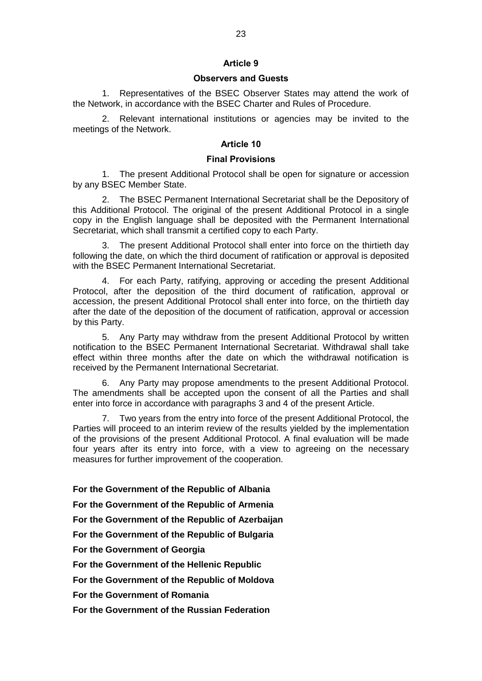# **Article 9**

# **Observers and Guests**

1. Representatives of the BSEC Observer States may attend the work of the Network, in accordance with the BSEC Charter and Rules of Procedure.

2. Relevant international institutions or agencies may be invited to the meetings of the Network.

# **Article 10**

# **Final Provisions**

1. The present Additional Protocol shall be open for signature or accession by any BSEC Member State.

The BSEC Permanent International Secretariat shall be the Depository of this Additional Protocol. The original of the present Additional Protocol in a single copy in the English language shall be deposited with the Permanent International Secretariat, which shall transmit a certified copy to each Party.

3. The present Additional Protocol shall enter into force on the thirtieth day following the date, on which the third document of ratification or approval is deposited with the BSEC Permanent International Secretariat.

4. For each Party, ratifying, approving or acceding the present Additional Protocol, after the deposition of the third document of ratification, approval or accession, the present Additional Protocol shall enter into force, on the thirtieth day after the date of the deposition of the document of ratification, approval or accession by this Party.

5. Any Party may withdraw from the present Additional Protocol by written notification to the BSEC Permanent International Secretariat. Withdrawal shall take effect within three months after the date on which the withdrawal notification is received by the Permanent International Secretariat.

6. Any Party may propose amendments to the present Additional Protocol. The amendments shall be accepted upon the consent of all the Parties and shall enter into force in accordance with paragraphs 3 and 4 of the present Article.

7. Two years from the entry into force of the present Additional Protocol, the Parties will proceed to an interim review of the results yielded by the implementation of the provisions of the present Additional Protocol. A final evaluation will be made four years after its entry into force, with a view to agreeing on the necessary measures for further improvement of the cooperation.

**For the Government of the Republic of Albania** 

**For the Government of the Republic of Armenia** 

**For the Government of the Republic of Azerbaijan**

**For the Government of the Republic of Bulgaria**

**For the Government of Georgia** 

**For the Government of the Hellenic Republic** 

**For the Government of the Republic of Moldova** 

**For the Government of Romania** 

**For the Government of the Russian Federation**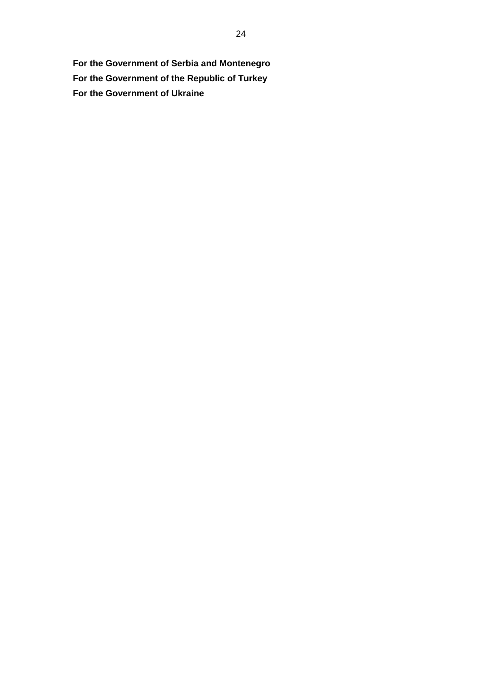**For the Government of Serbia and Montenegro For the Government of the Republic of Turkey For the Government of Ukraine**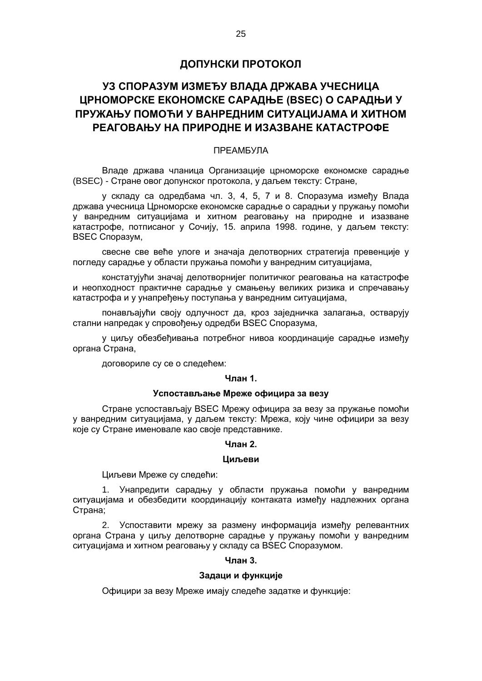# **ДОПУНСКИ ПРОТОКОЛ**

# **УЗ СПОРАЗУМ ИЗМЕЂУ ВЛАДА ДРЖАВА УЧЕСНИЦА ЦРНОМОРСКЕ ЕКОНОМСКЕ САРАДЊЕ (BSEC) О САРАДЊИ У ПРУЖАЊУ ПОМОЋИ У ВАНРЕДНИМ СИТУАЦИЈАМА И ХИТНОМ РЕАГОВАЊУ НА ПРИРОДНЕ И ИЗАЗВАНЕ КАТАСТРОФЕ**

# ПРЕАМБУЛА

Владе држава чланица Организације црноморске економске сарадње (BSEC) - Стране овог допунског протокола, у даљем тексту: Стране,

у складу са одредбама чл. 3, 4, 5, 7 и 8. Споразума између Влада држава учесница Црноморске економске сарадње о сарадњи у пружању помоћи у ванредним ситуацијама и хитном реаговању на природне и изазване катастрофе, потписаног у Сочију, 15. априла 1998. године, у даљем тексту: BSEC Споразум,

свесне све веће улоге и значаја делотворних стратегија превенције у погледу сарадње у области пружања помоћи у ванредним ситуацијама,

констатујући значај делотворнијег политичког реаговања на катастрофе и неопходност практичне сарадње у смањењу великих ризика и спречавању катастрофа и у унапређењу поступања у ванредним ситуацијама,

понављајући своју одлучност да, кроз заједничка залагања, остварују стални напредак у спровођењу одредби BSEC Споразума,

у циљу обезбеђивања потребног нивоа координације сарадње између органа Страна,

договориле су се о следећем:

# **Члан 1.**

# **Успостављање Мреже официра за везу**

Стране успостављају BSEC Мрежу официра за везу за пружање помоћи у ванредним ситуацијама, у даљем тексту: Мрежа, коју чине официри за везу које су Стране именовале као своје представнике.

#### **Члан 2.**

## **Циљеви**

Циљеви Мреже су следећи:

1. Унапредити сарадњу у области пружања помоћи у ванредним ситуацијама и обезбедити координацију контаката између надлежних органа Страна;

2. Успоставити мрежу за размену информација између релевантних органа Страна у циљу делотворне сарадње у пружању помоћи у ванредним ситуацијама и хитном реаговању у складу са BSEC Споразумом.

## **Члан 3.**

#### **Задаци и функције**

Официри за везу Мреже имају следеће задатке и функције: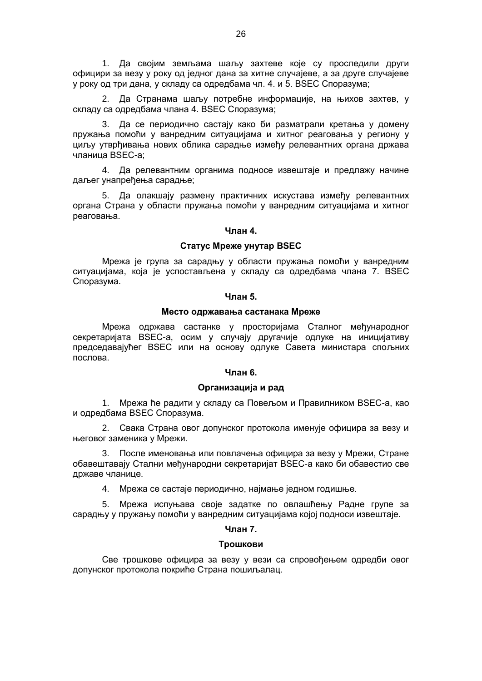1. Да својим земљама шаљу захтеве које су проследили други официри за везу у року од једног дана за хитне случајеве, а за друге случајеве у року од три дана, у складу са одредбама чл. 4. и 5. BSEC Споразума;

2. Да Странама шаљу потребне информације, на њихов захтев, у складу са одредбама члана 4. BSEC Споразума;

3. Да се периодично састају како би разматрали кретања у домену пружања помоћи у ванредним ситуацијама и хитног реаговања у региону у циљу утврђивања нових облика сарадње између релевантних органа држава чланица BSEC-а;

4. Да релевантним органима подносе извештаје и предлажу начине даљег унапређења сарадње;

5. Да олакшају размену практичних искустава између релевантних органа Страна у области пружања помоћи у ванредним ситуацијама и хитног реаговања.

## **Члан 4.**

# **Статус Мреже унутар BSEC**

Мрежа је група за сарадњу у области пружања помоћи у ванредним ситуацијама, која је успостављена у складу са одредбама члана 7. BSEC Споразума.

## **Члан 5.**

#### **Место одржавања састанака Мреже**

Мрежа одржава састанке у просторијама Сталног међународног секретаријата BSEC-а, осим у случају другачије одлуке на иницијативу председавајућег BSEC или на основу одлуке Савета министара спољних послова.

#### **Члан 6.**

#### **Организација и рад**

1. Мрежа ће радити у складу са Повељом и Правилником BSEC-а, као и одредбама BSEC Споразума.

2. Свака Страна овог допунског протокола именује официра за везу и његовог заменика у Мрежи.

3. После именовања или повлачења официра за везу у Мрежи, Стране обавештавају Стални међународни секретаријат BSEC-а како би обавестио све државе чланице.

4. Мрежа се састаје периодично, најмање једном годишње.

5. Мрежа испуњава своје задатке по овлашћењу Радне групе за сарадњу у пружању помоћи у ванредним ситуацијама којој подноси извештаје.

# **Члан 7.**

#### **Трошкови**

Све трошкове официра за везу у вези са спровођењем одредби овог допунског протокола покриће Страна пошиљалац.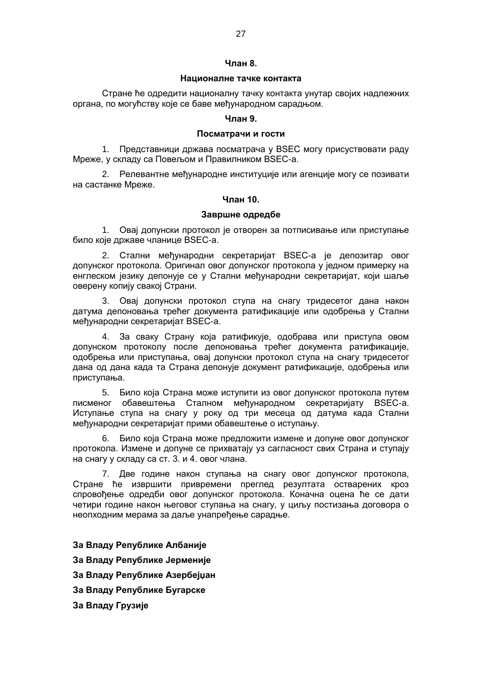#### **Члан 8.**

## **Националне тачке контакта**

Стране ће одредити националну тачку контакта унутар својих надлежних органа, по могућству које се баве међународном сарадњом.

## **Члан 9.**

## **Посматрачи и гости**

1. Представници држава посматрача у BSEC могу присуствовати раду Мреже, у складу са Повељом и Правилником BSEC-а.

2. Релевантне међународне институције или агенције могу се позивати на састанке Мреже.

# **Члан 10.**

# **Завршне одредбе**

1. Овај допунски протокол је отворен за потписивање или приступање било које државе чланице BSEC-а.

2. Стални међународни секретаријат BSEC-а је депозитар овог допунског протокола. Оригинал овог допунског протокола у једном примерку на енглеском језику депонује се у Стални међународни секретаријат, који шаље оверену копију свакој Страни.

3. Овај допунски протокол ступа на снагу тридесетог дана након датума депоновања трећег документа ратификације или одобрења у Стални међународни секретаријат BSEC-а.

4. За сваку Страну која ратификује, одобрава или приступа овом допунском протоколу после депоновања трећег документа ратификације, одобрења или приступања, овај допунски протокол ступа на снагу тридесетог дана од дана када та Страна депонује документ ратификације, одобрења или приступања.

5. Било која Страна може иступити из овог допунског протокола путем писменог обавештења Сталном међународном секретаријату BSEC-а. Иступање ступа на снагу у року од три месеца од датума када Стални међународни секретаријат прими обавештење о иступању.

6. Било која Страна може предложити измене и допуне овог допунског протокола. Измене и допуне се прихватају уз сагласност свих Страна и ступају на снагу у складу са ст. 3. и 4. овог члана.

7. Две године након ступања на снагу овог допунског протокола, Стране ће извршити привремени преглед резултата остварених кроз спровођење одредби овог допунског протокола. Коначна оцена ће се дати четири године након његовог ступања на снагу, у циљу постизања договора о неопходним мерама за даље унапређење сарадње.

**За Владу Републике Албаније За Владу Републике Јерменије За Владу Републике Азербејџан За Владу Републике Бугарске За Владу Грузије**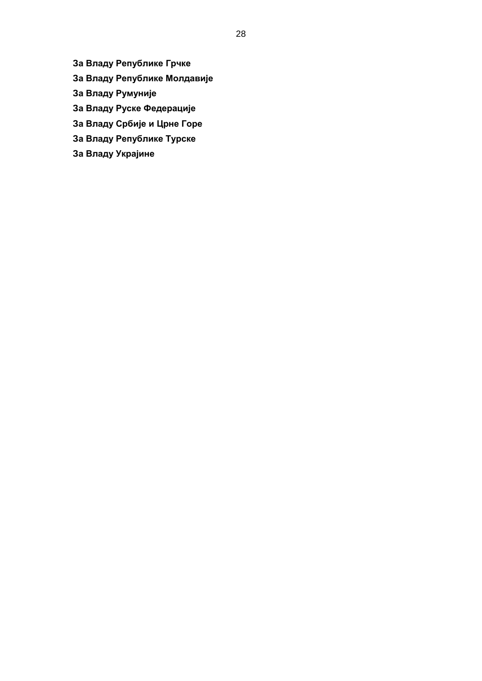**За Владу Републике Грчке**

- **За Владу Републике Молдавије**
- **За Владу Румуније**
- **За Владу Руске Федерације**
- **За Владу Србије и Црне Горе**
- **За Владу Републике Турске**
- **За Владу Украјине**